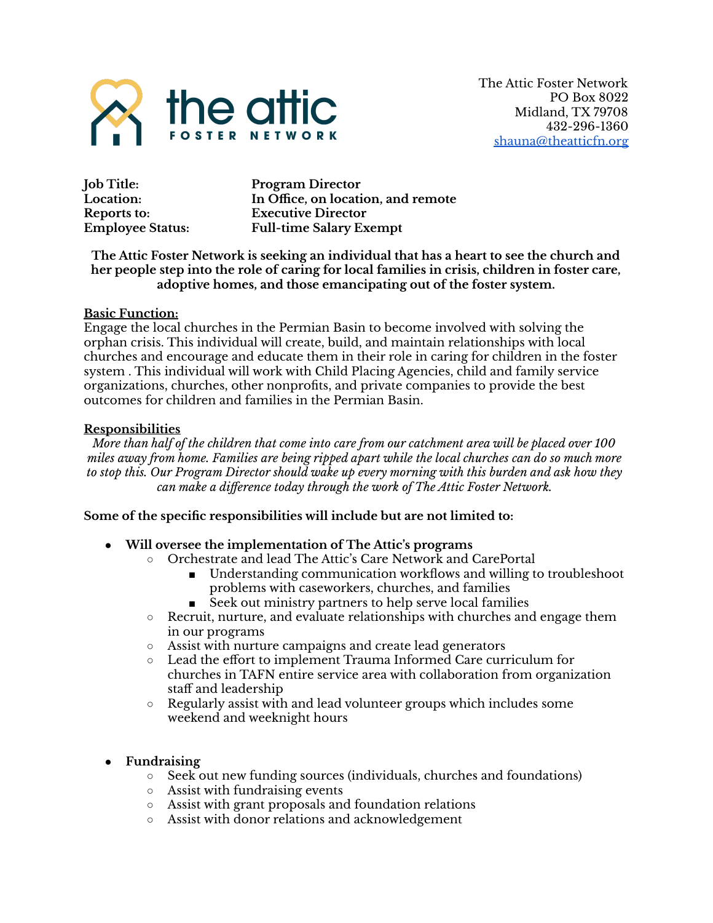

**Job Title: Program Director Location: In Office, on location, and remote Reports to: Executive Director Employee Status: Full-time Salary Exempt**

## **The Attic Foster Network is seeking an individual that has a heart to see the church and her people step into the role of caring for local families in crisis, children in foster care, adoptive homes, and those emancipating out of the foster system.**

## **Basic Function:**

Engage the local churches in the Permian Basin to become involved with solving the orphan crisis. This individual will create, build, and maintain relationships with local churches and encourage and educate them in their role in caring for children in the foster system . This individual will work with Child Placing Agencies, child and family service organizations, churches, other nonprofits, and private companies to provide the best outcomes for children and families in the Permian Basin.

#### **Responsibilities**

More than half of the children that come into care from our catchment area will be placed over 100 *miles away from home. Families are being ripped apart while the local churches can do so much more to stop this. Our Program Director should wake up every morning with this burden and ask how they can make a difference today through the work of The Attic Foster Network.*

## **Some of the specific responsibilities will include but are not limited to:**

- **● Will oversee the implementation of The Attic's programs**
	- Orchestrate and lead The Attic's Care Network and CarePortal
		- Understanding communication workflows and willing to troubleshoot problems with caseworkers, churches, and families
		- Seek out ministry partners to help serve local families
	- Recruit, nurture, and evaluate relationships with churches and engage them in our programs
	- Assist with nurture campaigns and create lead generators
	- Lead the effort to implement Trauma Informed Care curriculum for churches in TAFN entire service area with collaboration from organization staff and leadership
	- Regularly assist with and lead volunteer groups which includes some weekend and weeknight hours
- **● Fundraising**
	- Seek out new funding sources (individuals, churches and foundations)
	- Assist with fundraising events
	- Assist with grant proposals and foundation relations
	- Assist with donor relations and acknowledgement